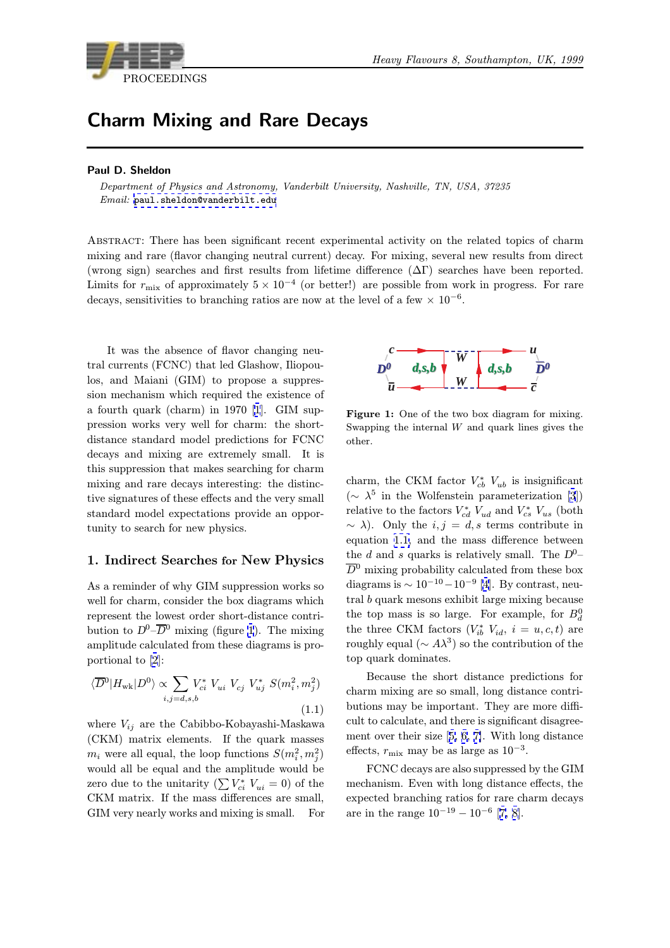

# Charm Mixing and Rare Decays

#### Paul D. Sheldon

Department of Physics and Astronomy, Vanderbilt University, Nashville, TN, USA, 37235 Email: paul.sheldon@vanderbilt.edu

Abstract: There has been significant recent experimental activity on the related topics of charm mixing a[nd rare \(flavor changing neutr](mailto:paul.sheldon@vanderbilt.edu)al current) decay. For mixing, several new results from direct (wrong sign) searches and first results from lifetime difference  $(\Delta \Gamma)$  searches have been reported. Limits for  $r_{\text{mix}}$  of approximately  $5 \times 10^{-4}$  (or better!) are possible from work in progress. For rare decays, sensitivities to branching ratios are now at the level of a few  $\times 10^{-6}$ .

It was the absence of flavor changing neutral currents (FCNC) that led Glashow, Iliopoulos, and Maiani (GIM) to propose a suppression mechanism which required the existence of a fourth quark (charm) in 1970 [1]. GIM suppression works very well for charm: the shortdistance standard model predictions for FCNC decays and mixing are extremely small. It is this suppression that makes searc[hi](#page-9-0)ng for charm mixing and rare decays interesting: the distinctive signatures of these effects and the very small standard model expectations provide an opportunity to search for new physics.

#### 1. Indirect Searches for New Physics

As a reminder of why GIM suppression works so well for charm, consider the box diagrams which represent the lowest order short-distance contribution to  $D^0$ – $\overline{D}{}^0$  mixing (figure 1). The mixing amplitude calculated from these diagrams is proportional to [2]:

$$
\langle \overline{D}^{0} | H_{\text{wk}} | D^{0} \rangle \propto \sum_{i,j=d,s,b} V_{ci}^{*} V_{ui} V_{cj} V_{uj}^{*} S(m_{i}^{2}, m_{j}^{2})
$$
\n(1.1)

wh[e](#page-9-0)re  $V_{ij}$  are the Cabibbo-Kobayashi-Maskawa (CKM) matrix elements. If the quark masses  $m_i$  were all equal, the loop functions  $S(m_i^2, m_j^2)$ would all be equal and the amplitude would be zero due to the unitarity  $(\sum V_{ci}^* V_{ui} = 0)$  of the CKM matrix. If the mass differences are small, GIM very nearly works and mixing is small. For



Figure 1: One of the two box diagram for mixing. Swapping the internal  $W$  and quark lines gives the other.

charm, the CKM factor  $V_{cb}^*$   $V_{ub}$  is insignificant  $({\sim \lambda^5}$  in the Wolfenstein parameterization [3]) relative to the factors  $V_{cd}^*$   $V_{ud}$  and  $V_{cs}^*$   $V_{us}$  (both  $\sim \lambda$ ). Only the  $i, j = d, s$  terms contribute in equation 1.1, and the mass difference between the d and s quarks is relatively small. The  $D^{0}$  $D^{0}$ - $\overline{D}{}^0$  mixing probability calculated from these box diagrams is  $\sim 10^{-10} - 10^{-9}$  [4]. By contrast, neutral b quark mesons exhibit large mixing because the top mass is so large. For example, for  $B_d^0$ the three CKM factors  $(V_{ib}^* V_{id}, i = u, c, t)$  are roughly equal ( $\sim A\lambda^3$ ) so t[he](#page-9-0) contribution of the top quark dominates.

Because the short distance predictions for charm mixing are so small, long distance contributions may be important. They are more difficult to calculate, and there is significant disagreement over their size [5, 6, 7]. With long distance effects,  $r_{\text{mix}}$  may be as large as 10<sup>-3</sup>.

FCNC decays are also suppressed by the GIM mechanism. Even with long distance effects, the expected branching [ra](#page-9-0)t[io](#page-9-0)s [f](#page-9-0)or rare charm decays are in the range  $10^{-19} - 10^{-6}$  [7, 8].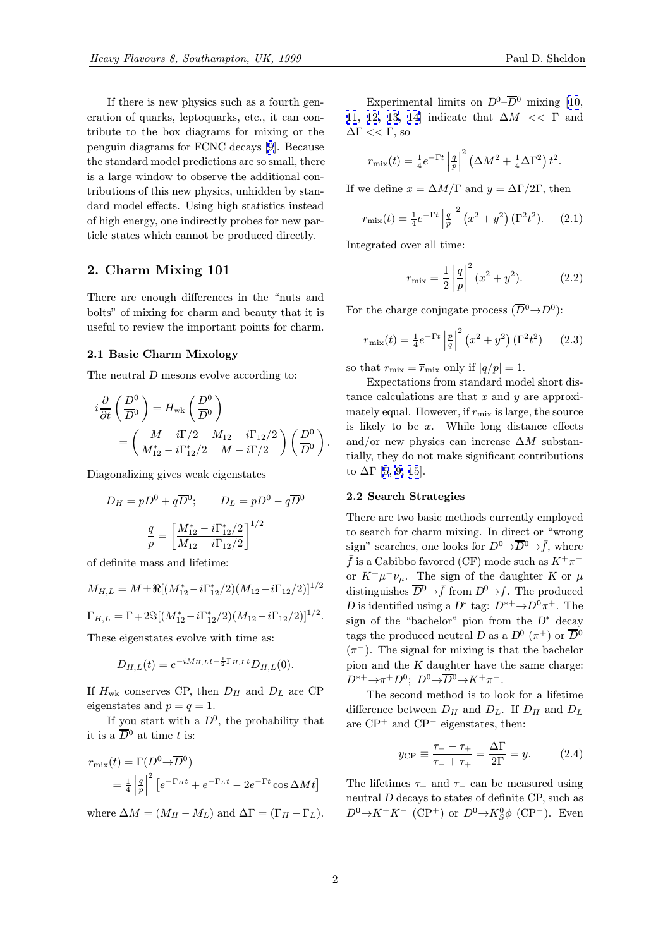<span id="page-1-0"></span>If there is new physics such as a fourth generation of quarks, leptoquarks, etc., it can contribute to the box diagrams for mixing or the penguin diagrams for FCNC decays [9]. Because the standard model predictions are so small, there is a large window to observe the additional contributions of this new physics, unhidden by standard model effects. Using high stati[sti](#page-9-0)cs instead of high energy, one indirectly probes for new particle states which cannot be produced directly.

## 2. Charm Mixing 101

There are enough differences in the "nuts and bolts" of mixing for charm and beauty that it is useful to review the important points for charm.

#### 2.1 Basic Charm Mixology

The neutral D mesons evolve according to:

$$
i\frac{\partial}{\partial t}\left(\frac{D^0}{D^0}\right) = H_{\rm wk}\left(\frac{D^0}{D^0}\right)
$$
  
= 
$$
\left(\begin{array}{cc} M - i\Gamma/2 & M_{12} - i\Gamma_{12}/2 \\ M_{12}^* - i\Gamma_{12}^*/2 & M - i\Gamma/2 \end{array}\right)\left(\frac{D^0}{D^0}\right).
$$

Diagonalizing gives weak eigenstates

$$
D_H = pD^0 + q\overline{D}^0; \qquad D_L = pD^0 - q\overline{D}^0
$$

$$
\frac{q}{p} = \left[\frac{M_{12}^* - i\Gamma_{12}^*/2}{M_{12} - i\Gamma_{12}/2}\right]^{1/2}
$$

of definite mass and lifetime:

$$
M_{H,L} = M \pm \Re[(M_{12}^* - i\Gamma_{12}^*/2)(M_{12} - i\Gamma_{12}/2)]^{1/2}
$$
  
\n
$$
\Gamma_{H,L} = \Gamma \mp 2\Im[(M_{12}^* - i\Gamma_{12}^*/2)(M_{12} - i\Gamma_{12}/2)]^{1/2}.
$$

These eigenstates evolve with time as:

$$
D_{H,L}(t) = e^{-iM_{H,L}t - \frac{1}{2}\Gamma_{H,L}t}D_{H,L}(0).
$$

If  $H_{\text{wk}}$  conserves CP, then  $D_H$  and  $D_L$  are CP eigenstates and  $p = q = 1$ .

If you start with a  $D^0$ , the probability that it is a  $\overline{D}{}^0$  at time t is:

$$
r_{\text{mix}}(t) = \Gamma(D^0 \to \overline{D}^0)
$$
  
=  $\frac{1}{4} \left| \frac{q}{p} \right|^2 \left[ e^{-\Gamma_H t} + e^{-\Gamma_L t} - 2e^{-\Gamma t} \cos \Delta M t \right]$ 

where  $\Delta M = (M_H - M_L)$  and  $\Delta \Gamma = (\Gamma_H - \Gamma_L)$ .

Experimental limits on  $D^0$ – $\overline{D}{}^0$  mixing [10, 11, 12, 13, 14] indicate that  $\Delta M \ll \Gamma$  and  $\Delta\Gamma << \Gamma$ , so

$$
r_{\text{mix}}(t) = \frac{1}{4} e^{-\Gamma t} \left| \frac{q}{p} \right|^2 \left( \Delta M^2 + \frac{1}{4} \Delta \Gamma^2 \right) t^2.
$$

If we define  $x = \Delta M/\Gamma$  and  $y = \Delta \Gamma/2\Gamma$ , then

$$
r_{\rm mix}(t) = \frac{1}{4} e^{-\Gamma t} \left| \frac{q}{p} \right|^2 (x^2 + y^2) (\Gamma^2 t^2).
$$
 (2.1)

Integrated over all time:

$$
r_{\text{mix}} = \frac{1}{2} \left| \frac{q}{p} \right|^2 (x^2 + y^2). \tag{2.2}
$$

For the charge conjugate process  $(\overline{D}^0 \rightarrow D^0)$ :

$$
\overline{r}_{\text{mix}}(t) = \frac{1}{4} e^{-\Gamma t} \left| \frac{p}{q} \right|^2 \left( x^2 + y^2 \right) (\Gamma^2 t^2) \tag{2.3}
$$

so that  $r_{\text{mix}} = \overline{r}_{\text{mix}}$  only if  $|q/p| = 1$ .

Expectations from standard model short distance calculations are that  $x$  and  $y$  are approximately equal. However, if  $r_{\text{mix}}$  is large, the source is likely to be  $x$ . While long distance effects and/or new physics can increase  $\Delta M$  substantially, they do not make significant contributions to  $\Delta\Gamma$  [5, 9, 15].

#### 2.2 Search Strategies

There are two basic methods currently employed to sear[ch](#page-9-0) [fo](#page-9-0)r [ch](#page-9-0)arm mixing. In direct or "wrong sign" searches, one looks for  $D^0 \rightarrow \overline{D}^0 \rightarrow \overline{f}$ , where  $\bar{f}$  is a Cabibbo favored (CF) mode such as  $K^+\pi^$ or  $K^+\mu^-\nu_\mu$ . The sign of the daughter K or  $\mu$ distinguishes  $\overline{D}^0 \rightarrow \overline{f}$  from  $D^0 \rightarrow f$ . The produced D is identified using a  $D^*$  tag:  $D^{*+}\rightarrow D^0\pi^+$ . The sign of the "bachelor" pion from the  $D^*$  decay tags the produced neutral D as a  $D^0$  ( $\pi^+$ ) or  $\overline{D}{}^0$  $(\pi^-)$ . The signal for mixing is that the bachelor pion and the K daughter have the same charge:  $D^{*+}\to\pi^+D^0$ ;  $D^0\to\overline{D}{}^0\to K^+\pi^-$ .

The second method is to look for a lifetime difference between  $D_H$  and  $D_L$ . If  $D_H$  and  $D_L$ are  $\text{CP}^+$  and  $\text{CP}^-$  eigenstates, then:

$$
y_{\rm CP} \equiv \frac{\tau_{-} - \tau_{+}}{\tau_{-} + \tau_{+}} = \frac{\Delta \Gamma}{2\Gamma} = y.
$$
 (2.4)

The lifetimes  $\tau_+$  and  $\tau_-$  can be measured using neutral D decays to states of definite CP, such as  $D^0 \rightarrow K^+ K^-$  (CP<sup>+</sup>) or  $D^0 \rightarrow K_S^0 \phi$  (CP<sup>-</sup>). Even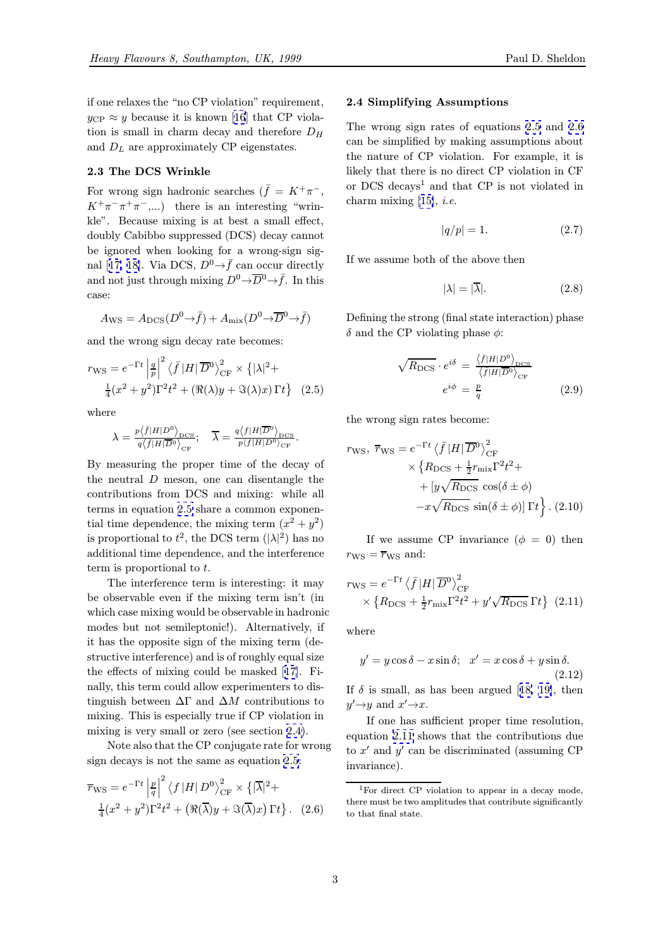<span id="page-2-0"></span>For wrong sign hadronic searches ( $\bar{f} = K^+ \pi^-$ ,  $K^+\pi^-\pi^+\pi^-\ldots$ ) there is an interesting "wrinkle". Because mixing is at best a small effect, doubly Cabibbo suppressed (DCS) decay cannot be ignored when looking for a wrong-sign signal [17, 18]. Via DCS,  $D^0 \rightarrow \bar{f}$  can occur directly and not just through mixing  $D^0 \rightarrow \overline{D}{}^0 \rightarrow \overline{f}$ . In this case:

$$
A_{\rm WS} = A_{\rm DCS}(D^0 \to \bar{f}) + A_{\rm mix}(D^0 \to \overline{D}{}^0 \to \bar{f})
$$

and the wrong sign decay rate becomes:

$$
r_{\rm WS} = e^{-\Gamma t} \left| \frac{q}{p} \right|^2 \left\langle \bar{f} | H | \overline{D}^0 \right\rangle_{\rm CF}^2 \times \left\{ |\lambda|^2 + \frac{1}{4} (x^2 + y^2) \Gamma^2 t^2 + \left( \Re(\lambda)y + \Im(\lambda)x \right) \Gamma t \right\} \tag{2.5}
$$

where

$$
\lambda = \frac{p\langle f|H|D^0\rangle_{\rm DCS}}{q\langle f|H|\overline{D}^0\rangle_{\rm CF}}; \quad \overline{\lambda} = \frac{q\langle f|H|\overline{D}^0\rangle_{\rm DCS}}{p\langle f|H|D^0\rangle_{\rm CF}}.
$$

By measuring the proper time of the decay of the neutral  $D$  meson, one can disentangle the contributions from DCS and mixing: while all terms in equation 2.5 share a common exponential time dependence, the mixing term  $(x^2 + y^2)$ is proportional to  $t^2$ , the DCS term  $(|\lambda|^2)$  has no additional time dependence, and the interference term is proportional to t.

The interference term is interesting: it may be observable even if the mixing term isn't (in which case mixing would be observable in hadronic modes but not semileptonic!). Alternatively, if it has the opposite sign of the mixing term (destructive interference) and is of roughly equal size the effects of mixing could be masked [17]. Finally, this term could allow experimenters to distinguish between  $\Delta\Gamma$  and  $\Delta M$  contributions to mixing. This is especially true if CP violation in mixing is very small or zero (see section [2.4](#page-9-0)).

Note also that the CP conjugate rate for wrong sign decays is not the same as equation 2.5:

$$
\overline{r}_{\text{WS}} = e^{-\Gamma t} \left| \frac{p}{q} \right|^2 \left\langle f \left| H \right| D^0 \right\rangle_{\text{CF}}^2 \times \left\{ |\overline{\lambda}|^2 + \frac{1}{4} (x^2 + y^2) \Gamma^2 t^2 + \left( \Re(\overline{\lambda}) y + \Im(\overline{\lambda}) x \right) \Gamma t \right\}. \tag{2.6}
$$

# $\frac{1}{2}$   $\frac{1}{2}$  Simplifying  $\frac{1}{2}$

The wrong sign rates of equations 2.5 and 2.6 can be simplified by making assumptions about the nature of CP violation. For example, it is likely that there is no direct CP violation in CF or DCS decays<sup>1</sup> and that CP is not violated in charm mixing  $[15]$ , *i.e.* 

$$
|q/p| = 1.\t(2.7)
$$

If we assume b[oth](#page-9-0) of the above then

$$
|\lambda| = |\overline{\lambda}|. \tag{2.8}
$$

Defining the strong (final state interaction) phase  $\delta$  and the CP violating phase  $\phi$ :

$$
\sqrt{R_{\rm DCS}} \cdot e^{i\delta} = \frac{\langle \bar{f}|H|D^0\rangle_{\rm DCS}}{\langle \bar{f}|H|\overline{D}^0\rangle_{\rm CF}}
$$

$$
e^{i\phi} = \frac{p}{q}
$$
(2.9)

the wrong sign rates become:

$$
r_{\text{WS}}, \ \overline{r}_{\text{WS}} = e^{-\Gamma t} \left\langle \overline{f} |H| \overline{D}^{0} \right\rangle_{\text{CF}}^{2}
$$

$$
\times \left\{ R_{\text{DCS}} + \frac{1}{2} r_{\text{mix}} \Gamma^{2} t^{2} + \right. \\ \left. + \left[ y \sqrt{R_{\text{DCS}}} \cos(\delta \pm \phi) \right. \\ \left. - x \sqrt{R_{\text{DCS}}} \sin(\delta \pm \phi) \right] \Gamma t \right\}. \ (2.10)
$$

If we assume CP invariance  $(\phi = 0)$  then  $r_{\text{WS}} = \overline{r}_{\text{WS}}$  and:

$$
r_{\rm WS} = e^{-\Gamma t} \left\langle \bar{f} |H| \overline{D}{}^{0} \right\rangle_{\rm CF}^{2}
$$
  
 
$$
\times \left\{ R_{\rm DCS} + \frac{1}{2} r_{\rm mix} \Gamma^{2} t^{2} + y' \sqrt{R_{\rm DCS}} \Gamma t \right\} (2.11)
$$

where

$$
y' = y\cos\delta - x\sin\delta; \ \ x' = x\cos\delta + y\sin\delta.
$$
\n(2.12)

If  $\delta$  is small, as has been argued [18, 19], then  $y' \rightarrow y$  and  $x' \rightarrow x$ .

If one has sufficient proper time resolution, equation 2.11 shows that the contributions due to  $x'$  and  $y'$  can be discriminated ([assumi](#page-9-0)ng CP) invariance).

<sup>&</sup>lt;sup>1</sup>For direct CP violation to appear in a decay mode, there must be two amplitudes that contribute significantly to that final state.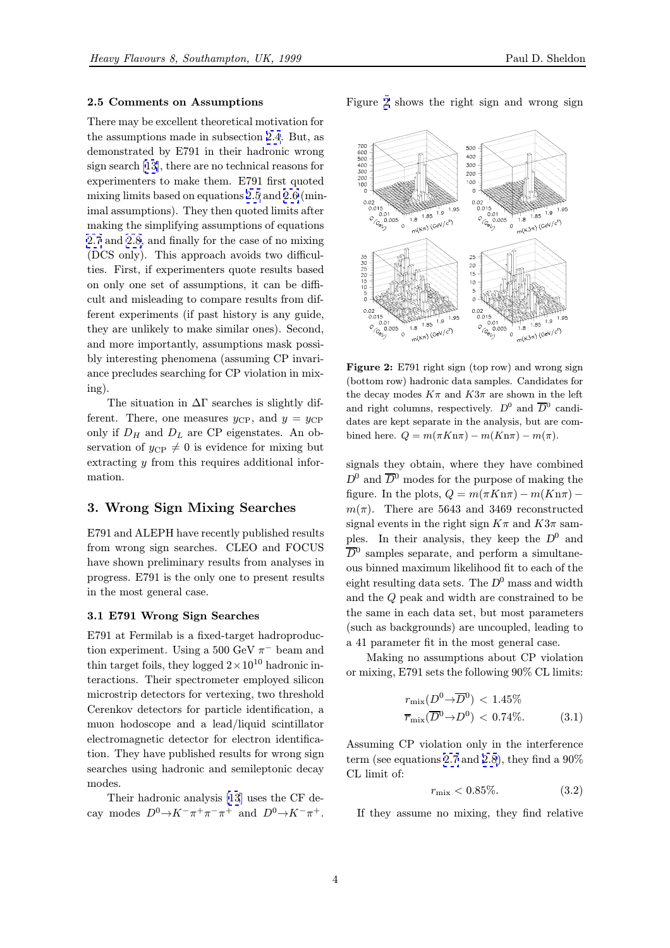# 2.5 Comments on Assumptions

There may be excellent theoretical motivation for the assumptions made in subsection 2.4. But, as demonstrated by E791 in their hadronic wrong sign search [13], there are no technical reasons for experimenters to make them. E791 first quoted mixing limits based on equations 2.5 [and](#page-2-0) 2.6 (minimal assumptions). They then quoted limits after making the [sim](#page-9-0)plifying assumptions of equations 2.7 and 2.8, and finally for the case of no mixing (DCS only). This approach av[oids](#page-2-0) two [diffi](#page-2-0)culties. First, if experimenters quote results based on only one set of assumptions, it can be diffi[cul](#page-2-0)t an[d mi](#page-2-0)sleading to compare results from different experiments (if past history is any guide, they are unlikely to make similar ones). Second, and more importantly, assumptions mask possibly interesting phenomena (assuming CP invariance precludes searching for CP violation in mixing).

The situation in  $\Delta\Gamma$  searches is slightly different. There, one measures  $y_{\rm CP}$ , and  $y = y_{\rm CP}$ only if  $D_H$  and  $D_L$  are CP eigenstates. An observation of  $y_{\text{CP}} \neq 0$  is evidence for mixing but extracting y from this requires additional information.

### 3. Wrong Sign Mixing Searches

E791 and ALEPH have recently published results from wrong sign searches. CLEO and FOCUS have shown preliminary results from analyses in progress. E791 is the only one to present results in the most general case.

# $3.1$  E791 Wrong Sign Searches Sign Searches Searches Searches Searches Searches Searches Searches Searches Searches Searches Searches Searches Searches Searches Searches Searches Searches Searches Searches Searches Searc

E791 at Fermilab is a fixed-target hadroproduction experiment. Using a 500 GeV  $\pi^-$  beam and thin target foils, they logged  $2 \times 10^{10}$  hadronic interactions. Their spectrometer employed silicon microstrip detectors for vertexing, two threshold Cerenkov detectors for particle identification, a muon hodoscope and a lead/liquid scintillator electromagnetic detector for electron identification. They have published results for wrong sign searches using hadronic and semileptonic decay modes.

Their hadronic analysis [13] uses the CF decay modes  $D^0 \rightarrow K^-\pi^+\pi^-\pi^+$  and  $D^0 \rightarrow K^-\pi^+$ . Figure 2 shows the right sign and wrong sign



Figure 2: E791 right sign (top row) and wrong sign (bottom row) hadronic data samples. Candidates for the decay modes  $K\pi$  and  $K3\pi$  are shown in the left and right columns, respectively.  $D^0$  and  $\overline{D}{}^0$  candidates are kept separate in the analysis, but are combined here.  $Q = m(\pi K n \pi) - m(K n \pi) - m(\pi)$ .

signals they obtain, where they have combined  $D^0$  and  $\overline{D}{}^0$  modes for the purpose of making the figure. In the plots,  $Q = m(\pi K n \pi) - m(K n \pi)$  $m(\pi)$ . There are 5643 and 3469 reconstructed signal events in the right sign  $K\pi$  and  $K3\pi$  samples. In their analysis, they keep the  $D^0$  and  $\overline{D}{}^0$  samples separate, and perform a simultaneous binned maximum likelihood fit to each of the eight resulting data sets. The  $D^0$  mass and width and the Q peak and width are constrained to be the same in each data set, but most parameters (such as backgrounds) are uncoupled, leading to a 41 parameter fit in the most general case.

Making no assumptions about CP violation or mixing, E791 sets the following 90% CL limits:

$$
r_{\text{mix}}(D^0 \to \overline{D}^0) < 1.45\%
$$
\n
$$
\overline{r}_{\text{mix}}(\overline{D}^0 \to D^0) < 0.74\%.
$$
\n
$$
(3.1)
$$

Assuming CP violation only in the interference term (see equations 2.7 and 2.8), they find a  $90\%$ CL limit of:

$$
r_{\rm mix} < 0.85\%. \tag{3.2}
$$

If they assume n[o m](#page-2-0)ixin[g, t](#page-2-0)hey find relative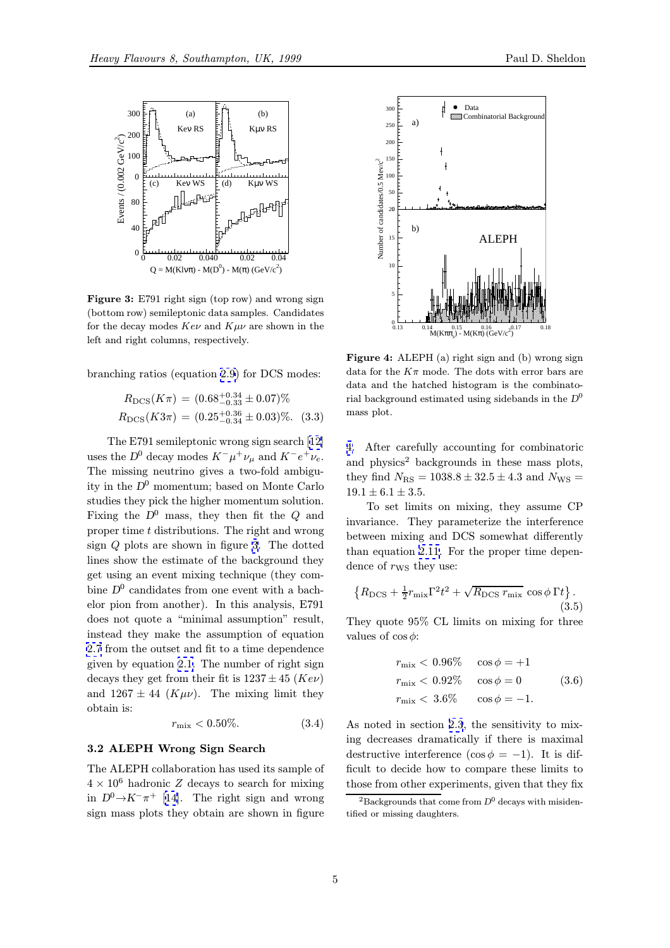

Figure 3: E791 right sign (top row) and wrong sign (bottom row) semileptonic data samples. Candidates for the decay modes  $Ke\nu$  and  $K\mu\nu$  are shown in the left and right columns, respectively.

branching ratios (equation 2.9) for DCS modes:

$$
R_{\rm DCS}(K\pi) = (0.68^{+0.34}_{-0.33} \pm 0.07)\%
$$
  

$$
R_{\rm DCS}(K3\pi) = (0.25^{+0.36}_{-0.34} \pm 0.03)\%
$$
 (3.3)

The E791 semileptonic wrong sign search [12] uses the D<sup>0</sup> decay modes  $K^-\mu^+\nu_\mu$  and  $K^-e^+\nu_e$ . The missing neutrino gives a two-fold ambiguity in the  $D^0$  momentum; based on Monte Carlo studies they pick the higher momentum soluti[on](#page-9-0). Fixing the  $D^0$  mass, they then fit the Q and proper time t distributions. The right and wrong sign Q plots are shown in figure 3. The dotted lines show the estimate of the background they get using an event mixing technique (they combine  $D^0$  candidates from one event with a bachelor pion from another). In this analysis, E791 does not quote a "minimal assumption" result, instead they make the assumption of equation 2.7 from the outset and fit to a time dependence given by equation 2.1. The number of right sign decays they get from their fit is  $1237 \pm 45$  (Kev) and  $1267 \pm 44$  ( $K \mu \nu$ ). The mixing limit they [obt](#page-2-0)ain is:

$$
r_{\text{mix}} < 0.50\%.\tag{3.4}
$$

#### 3.2 ALEPH Wrong Sign Search

The ALEPH collaboration has used its sample of  $4 \times 10^6$  hadronic Z decays to search for mixing in  $D^0 \rightarrow K^-\pi^+$  [14]. The right sign and wrong sign mass plots they obtain are shown in figure



Figure 4: ALEPH (a) right sign and (b) wrong sign data for the  $K\pi$  mode. The dots with error bars are data and the hatched histogram is the combinatorial background estimated using sidebands in the  $D^0$ mass plot.

4. After carefully accounting for combinatoric and physics<sup>2</sup> backgrounds in these mass plots, they find  $N_{\text{RS}} = 1038.8 \pm 32.5 \pm 4.3$  and  $N_{\text{WS}} =$  $19.1 \pm 6.1 \pm 3.5.$ 

To set limits on mixing, they assume CP invariance. They parameterize the interference between mixing and DCS somewhat differently than equation 2.11. For the proper time dependence of  $r_{\text{WS}}$  they use:

$$
\left\{ R_{\rm DCS} + \frac{1}{2} r_{\rm mix} \Gamma^2 t^2 + \sqrt{R_{\rm DCS} r_{\rm mix}} \cos \phi \Gamma t \right\}.
$$
\n(3.5)

They quote 95% CL limits on mixing for three values of  $\cos \phi$ :

$$
r_{\text{mix}} < 0.96\% \quad \cos \phi = +1
$$
\n
$$
r_{\text{mix}} < 0.92\% \quad \cos \phi = 0 \quad (3.6)
$$
\n
$$
r_{\text{mix}} < 3.6\% \quad \cos \phi = -1.
$$

As noted in section 2.3, the sensitivity to mixing decreases dramatically if there is maximal destructive interference (cos  $\phi = -1$ ). It is difficult to decide how to compare these limits to those from other exp[erim](#page-2-0)ents, given that they fix

<sup>&</sup>lt;sup>2</sup>Backgrounds that come from  $D^0$  decays with misidentified or missing daughters.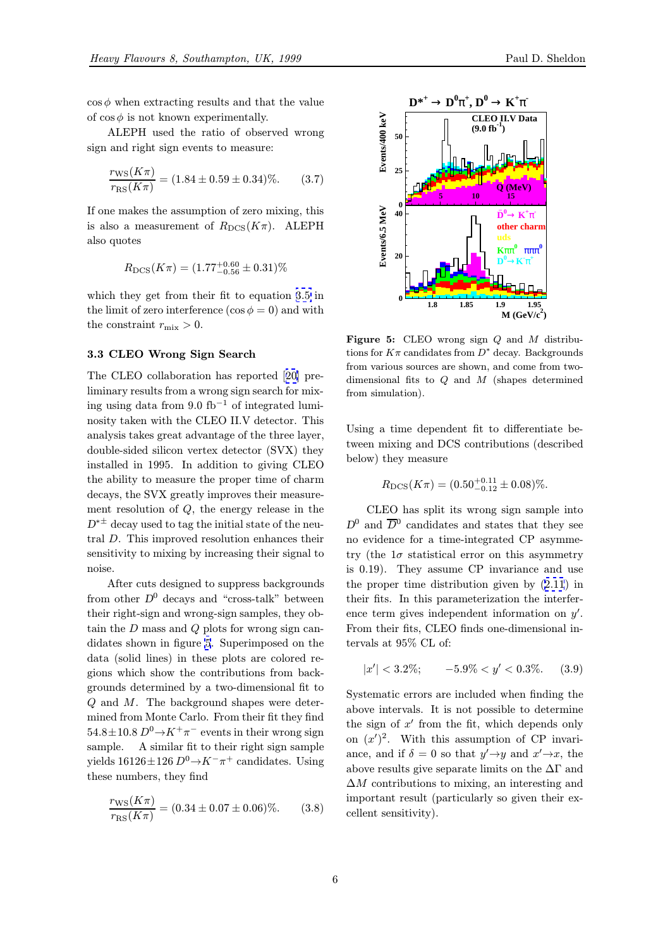$\cos \phi$  when extracting results and that the value of  $\cos \phi$  is not known experimentally.

ALEPH used the ratio of observed wrong sign and right sign events to measure:

$$
\frac{r_{\rm WS}(K\pi)}{r_{\rm RS}(K\pi)} = (1.84 \pm 0.59 \pm 0.34)\%. \tag{3.7}
$$

If one makes the assumption of zero mixing, this is also a measurement of  $R_{\text{DCS}}(K\pi)$ . ALEPH also quotes

$$
R_{\rm DCS}(K\pi) = (1.77^{+0.60}_{-0.56} \pm 0.31)\%
$$

which they get from their fit to equation 3.5 in the limit of zero interference  $(\cos \phi = 0)$  and with the constraint  $r_{\text{mix}} > 0$ .

#### 3.3 CLEO Wrong Sign Search

The CLEO collaboration has reported [20] preliminary results from a wrong sign search for mixing using data from 9.0 fb<sup>-1</sup> of integrated luminosity taken with the CLEO II.V detector. This analysis takes great advantage of the thr[ee](#page-9-0) layer, double-sided silicon vertex detector (SVX) they installed in 1995. In addition to giving CLEO the ability to measure the proper time of charm decays, the SVX greatly improves their measurement resolution of Q, the energy release in the  $D^{*\pm}$  decay used to tag the initial state of the neutral D. This improved resolution enhances their sensitivity to mixing by increasing their signal to noise.

After cuts designed to suppress backgrounds from other  $D^0$  decays and "cross-talk" between their right-sign and wrong-sign samples, they obtain the D mass and Q plots for wrong sign candidates shown in figure 5. Superimposed on the data (solid lines) in these plots are colored regions which show the contributions from backgrounds determined by a two-dimensional fit to Q and M. The background shapes were determined from Monte Carlo. From their fit they find  $54.8 \pm 10.8$   $D^0 \rightarrow K^+ \pi^-$  events in their wrong sign sample. A similar fit to their right sign sample A similar fit to their right sign sample. yields  $16126 \pm 126$   $D^0 \rightarrow K^-\pi^+$  candidates. Using these numbers, they find

$$
\frac{r_{\rm WS}(K\pi)}{r_{\rm RS}(K\pi)} = (0.34 \pm 0.07 \pm 0.06)\%. \tag{3.8}
$$



Figure 5: CLEO wrong sign  $Q$  and  $M$  distributions for  $K\pi$  candidates from  $D^*$  decay. Backgrounds from various sources are shown, and come from twodimensional fits to  $Q$  and  $M$  (shapes determined from simulation).

Using a time dependent fit to differentiate between mixing and DCS contributions (described below) they measure

$$
R_{\rm DCS}(K\pi) = (0.50^{+0.11}_{-0.12} \pm 0.08)\%.
$$

CLEO has split its wrong sign sample into  $D^0$  and  $\overline{D}{}^0$  candidates and states that they see no evidence for a time-integrated CP asymmetry (the  $1\sigma$  statistical error on this asymmetry is 0.19). They assume CP invariance and use the proper time distribution given by (2.11) in their fits. In this parameterization the interference term gives independent information on  $y'$ . From their fits, CLEO finds one-dimens[ional](#page-2-0) intervals at 95% CL of:

$$
|x'| < 3.2\%; \quad -5.9\% < y' < 0.3\%.\tag{3.9}
$$

Systematic errors are included when finding the above intervals. It is not possible to determine the sign of  $x'$  from the fit, which depends only on  $(x')^2$ . With this assumption of CP invariance, and if  $\delta = 0$  so that  $y' \rightarrow y$  and  $x' \rightarrow x$ , the above results give separate limits on the  $\Delta\Gamma$  and  $\Delta M$  contributions to mixing, an interesting and important result (particularly so given their excellent sensitivity).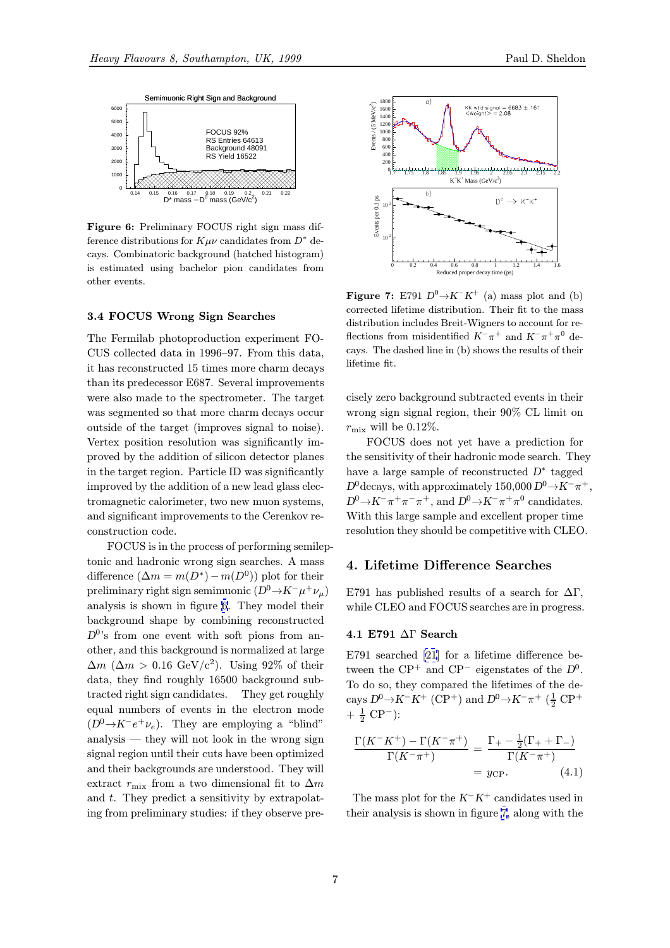<span id="page-6-0"></span>

Figure 6: Preliminary FOCUS right sign mass difference distributions for  $K\mu\nu$  candidates from  $D^*$  decays. Combinatoric background (hatched histogram) is estimated using bachelor pion candidates from other events.

#### 3.4 FOCUS Wrong Sign Searches

The Fermilab photoproduction experiment FO-CUS collected data in 1996–97. From this data, it has reconstructed 15 times more charm decays than its predecessor E687. Several improvements were also made to the spectrometer. The target was segmented so that more charm decays occur outside of the target (improves signal to noise). Vertex position resolution was significantly improved by the addition of silicon detector planes in the target region. Particle ID was significantly improved by the addition of a new lead glass electromagnetic calorimeter, two new muon systems, and significant improvements to the Cerenkov reconstruction code.

FOCUS is in the process of performing semileptonic and hadronic wrong sign searches. A mass difference  $(\Delta m = m(D^*) - m(D^0))$  plot for their preliminary right sign semimuonic  $(D^0 \rightarrow K^-\mu^+\nu_\mu)$ analysis is shown in figure 6. They model their background shape by combining reconstructed  $D^{0}$ 's from one event with soft pions from another, and this background is normalized at large  $\Delta m$  ( $\Delta m > 0.16$  GeV/c<sup>2</sup>). Using 92\% of their data, they find roughly 16500 background subtracted right sign candidates. They get roughly equal numbers of events in the electron mode  $(D^0 \rightarrow K^-e^+\nu_e)$ . They are employing a "blind" analysis — they will not look in the wrong sign signal region until their cuts have been optimized and their backgrounds are understood. They will extract  $r_{\text{mix}}$  from a two dimensional fit to  $\Delta m$ and t. They predict a sensitivity by extrapolating from preliminary studies: if they observe pre-



**Figure 7:** E791  $D^0 \rightarrow K^- K^+$  (a) mass plot and (b) corrected lifetime distribution. Their fit to the mass distribution includes Breit-Wigners to account for reflections from misidentified  $K^-\pi^+$  and  $K^-\pi^+\pi^0$  decays. The dashed line in (b) shows the results of their lifetime fit.

cisely zero background subtracted events in their wrong sign signal region, their 90% CL limit on  $r_{\rm mix}$  will be 0.12%.

FOCUS does not yet have a prediction for the sensitivity of their hadronic mode search. They have a large sample of reconstructed  $D^*$  tagged  $D^{0}$ decays, with approximately 150,000  $D^{0} \rightarrow K^{-} \pi^{+}$ ,  $D^0 \rightarrow K^-\pi^+\pi^-\pi^+$ , and  $D^0 \rightarrow K^-\pi^+\pi^0$  candidates. With this large sample and excellent proper time resolution they should be competitive with CLEO.

# 4. Lifetime Difference Searches

E791 has published results of a search for  $\Delta\Gamma$ , while CLEO and FOCUS searches are in progress.

#### 4.1 E791 ∆Γ Search

E791 searched [21] for a lifetime difference between the  $\text{CP}^+$  and  $\text{CP}^-$  eigenstates of the  $D^0$ . To do so, they compared the lifetimes of the decays  $D^0 \rightarrow K^- K^+$  [\(C](#page-9-0)P<sup>+</sup>) and  $D^0 \rightarrow K^- \pi^+$  ( $\frac{1}{2}$  CP<sup>+</sup>  $+~\frac{1}{2}~\mathrm{CP}^{-}$ ):

$$
\frac{\Gamma(K^-K^+)-\Gamma(K^-\pi^+)}{\Gamma(K^-\pi^+)} = \frac{\Gamma_+ - \frac{1}{2}(\Gamma_+ + \Gamma_-)}{\Gamma(K^-\pi^+)}
$$
  
=  $y_{\text{CP}}$ . (4.1)

The mass plot for the  $K^-K^+$  candidates used in their analysis is shown in figure 7, along with the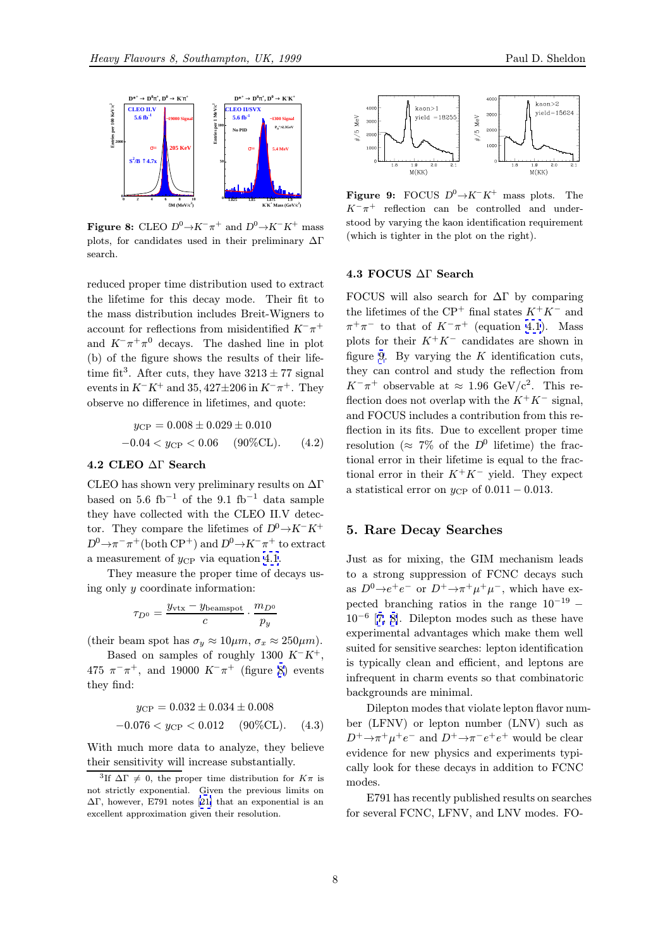

**Figure 8:** CLEO  $D^0 \rightarrow K^-\pi^+$  and  $D^0 \rightarrow K^-K^+$  mass plots, for candidates used in their preliminary  $\Delta\Gamma$ search.

reduced proper time distribution used to extract the lifetime for this decay mode. Their fit to the mass distribution includes Breit-Wigners to account for reflections from misidentified  $K^-\pi^+$ and  $K^-\pi^+\pi^0$  decays. The dashed line in plot (b) of the figure shows the results of their lifetime fit<sup>3</sup>. After cuts, they have  $3213 \pm 77$  signal events in  $K^-K^+$  and 35, 427±206 in  $K^-\pi^+$ . They observe no difference in lifetimes, and quote:

$$
y_{\rm CP} = 0.008 \pm 0.029 \pm 0.010
$$
  
-0.04  $< y_{\rm CP} < 0.06$  (90%CL). (4.2)

### 4.2 CLEO ∆Γ Search

CLEO has shown very preliminary results on ∆Γ based on 5.6 fb<sup>-1</sup> of the 9.1 fb<sup>-1</sup> data sample they have collected with the CLEO II.V detector. They compare the lifetimes of  $D^0 \rightarrow K^-K^+$  $D^0 \to \pi^- \pi^+$ (both CP<sup>+</sup>) and  $D^0 \to K^- \pi^+$  to extract a measurement of  $y_{\text{CP}}$  via equation 4.1.

They measure the proper time of decays using only y coordinate information:

$$
\tau_{D^0} = \frac{y_{\rm vtx} - y_{\rm beamspot}}{c} \cdot \frac{m_{D^0}}{p_y}
$$

(their beam spot has  $\sigma_y \approx 10 \mu m$ ,  $\sigma_x \approx 250 \mu m$ ).

Based on samples of roughly 1300  $K^-K^+$ , 475  $\pi^{-}\pi^{+}$ , and 19000  $K^{-}\pi^{+}$  (figure 8) events they find:

$$
y_{\rm CP} = 0.032 \pm 0.034 \pm 0.008
$$
  
-0.076  $\langle y_{\rm CP} \langle 0.012 | 90\% \text{CL} \rangle$ . (4.3)

With much more data to analyze, they believe their sensitivity will increase substantially.



**Figure 9:** FOCUS  $D^0 \rightarrow K^- K^+$  mass plots. The  $K^-\pi^+$  reflection can be controlled and understood by varying the kaon identification requirement (which is tighter in the plot on the right).

### 4.3 FOCUS ∆Γ Search

FOCUS will also search for  $\Delta\Gamma$  by comparing the lifetimes of the  $\mathbb{CP}^+$  final states  $K^+K^-$  and  $\pi^+\pi^-$  to that of  $K^-\pi^+$  (equation 4.1). Mass plots for their  $K^+K^-$  candidates are shown in figure 9. By varying the  $K$  identification cuts, they can control and study the reflection from  $K^-\pi^+$  observable at  $\approx 1.96 \text{ GeV}/c^2$  $\approx 1.96 \text{ GeV}/c^2$  $\approx 1.96 \text{ GeV}/c^2$ . This reflection does not overlap with the  $K^+K^-$  signal, and FOCUS includes a contribution from this reflection in its fits. Due to excellent proper time resolution ( $\approx$  7% of the D<sup>0</sup> lifetime) the fractional error in their lifetime is equal to the fractional error in their  $K^+K^-$  yield. They expect a statistical error on  $y_{\rm CP}$  of  $0.011 - 0.013$ .

#### 5. Rare Decay Searches

Just as for mixing, the GIM mechanism leads to a strong suppression of FCNC decays such as  $D^0 \rightarrow e^+e^-$  or  $D^+ \rightarrow \pi^+\mu^+\mu^-$ , which have expected branching ratios in the range  $10^{-19}$  –  $10^{-6}$  [7, 8]. Dilepton modes such as these have experimental advantages which make them well suited for sensitive searches: lepton identification is typically clean and efficient, and leptons are infreq[uent](#page-9-0) in charm events so that combinatoric backgrounds are minimal.

Dilepton modes that violate lepton flavor number (LFNV) or lepton number (LNV) such as  $D^+\rightarrow \pi^+\mu^+e^-$  and  $D^+\rightarrow \pi^-e^+e^+$  would be clear evidence for new physics and experiments typically look for these decays in addition to FCNC modes.

E791 has recently published results on searches for several FCNC, LFNV, and LNV modes. FO-

<sup>&</sup>lt;sup>3</sup>If  $\Delta\Gamma \neq 0$ , the proper time distribution for  $K\pi$  is not strictly exponential. Given the previous limits on  $ΔΓ$ , however, E791 notes [21] that an exponential is an excellent approximation given their resolution.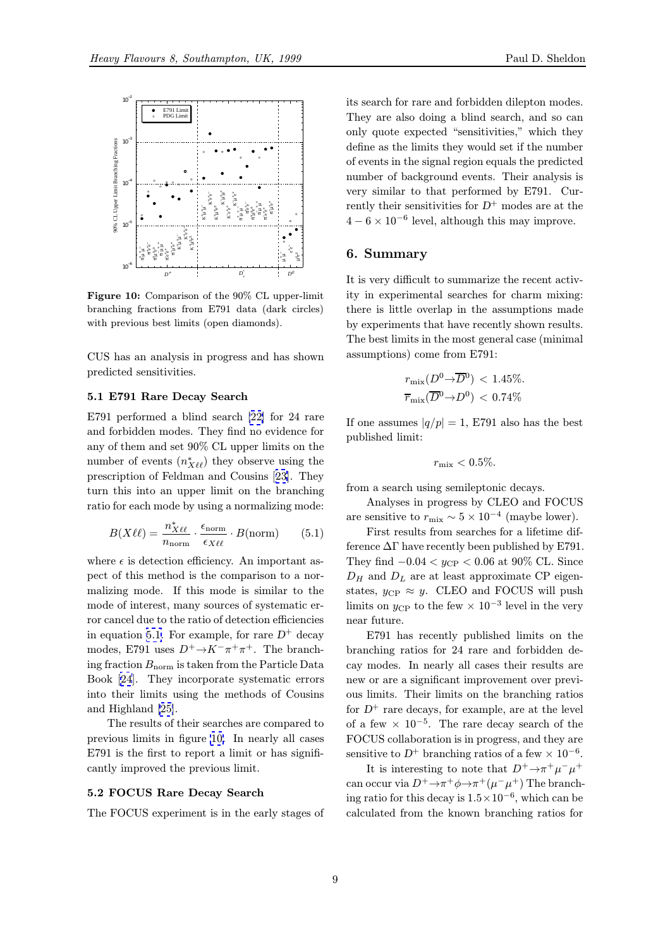

Figure 10: Comparison of the 90% CL upper-limit branching fractions from E791 data (dark circles) with previous best limits (open diamonds).

CUS has an analysis in progress and has shown predicted sensitivities.

#### 5.1 E791 Rare Decay Search

E791 performed a blind search [22] for 24 rare and forbidden modes. They find no evidence for any of them and set 90% CL upper limits on the number of events  $(n^*_{X\ell\ell})$  they observe using the prescription of Feldman and Co[usin](#page-9-0)s [23]. They turn this into an upper limit on the branching ratio for each mode by using a normalizing mode:

$$
B(X\ell\ell) = \frac{n_{X\ell\ell}^*}{n_{\text{norm}}} \cdot \frac{\epsilon_{\text{norm}}}{\epsilon_{X\ell\ell}} \cdot B(\text{norm}) \qquad (5.1)
$$

where  $\epsilon$  is detection efficiency. An important aspect of this method is the comparison to a normalizing mode. If this mode is similar to the mode of interest, many sources of systematic error cancel due to the ratio of detection efficiencies in equation 5.1. For example, for rare  $D^+$  decay modes, E791 uses  $D^+\rightarrow K^-\pi^+\pi^+$ . The branching fraction  $B_{\text{norm}}$  is taken from the Particle Data Book [24]. They incorporate systematic errors into their limits using the methods of Cousins and Highland [25].

The results of their searches are compared to previo[us](#page-9-0) limits in figure 10. In nearly all cases E791 is the first to report a limit or has significantly improv[ed t](#page-9-0)he previous limit.

#### 5.2 FOCUS Rare Decay Search

The FOCUS experiment is in the early stages of

its search for rare and forbidden dilepton modes. They are also doing a blind search, and so can only quote expected "sensitivities," which they define as the limits they would set if the number of events in the signal region equals the predicted number of background events. Their analysis is very similar to that performed by E791. Currently their sensitivities for  $D^+$  modes are at the  $4-6 \times 10^{-6}$  level, although this may improve.

### 6. Summary

It is very difficult to summarize the recent activity in experimental searches for charm mixing: there is little overlap in the assumptions made by experiments that have recently shown results. The best limits in the most general case (minimal assumptions) come from E791:

$$
r_{\text{mix}}(D^0 \to \overline{D}^0) < 1.45\%.
$$
\n
$$
\overline{r}_{\text{mix}}(\overline{D}^0 \to D^0) < 0.74\%
$$

If one assumes  $|q/p| = 1$ , E791 also has the best published limit:

$$
r_{\rm mix} < 0.5\%.
$$

from a search using semileptonic decays.

Analyses in progress by CLEO and FOCUS are sensitive to  $r_{\text{mix}} \sim 5 \times 10^{-4}$  (maybe lower).

First results from searches for a lifetime difference  $\Delta\Gamma$  have recently been published by E791. They find  $-0.04 < y_{CP} < 0.06$  at 90% CL. Since  $D_H$  and  $D_L$  are at least approximate CP eigenstates,  $y_{\rm CP} \approx y$ . CLEO and FOCUS will push limits on  $y_{\rm CP}$  to the few  $\times 10^{-3}$  level in the very near future.

E791 has recently published limits on the branching ratios for 24 rare and forbidden decay modes. In nearly all cases their results are new or are a significant improvement over previous limits. Their limits on the branching ratios for  $D^+$  rare decays, for example, are at the level of a few  $\times$  10<sup>-5</sup>. The rare decay search of the FOCUS collaboration is in progress, and they are sensitive to  $D^+$  branching ratios of a few  $\times 10^{-6}$ .

It is interesting to note that  $D^+ \rightarrow \pi^+ \mu^- \mu^+$ can occur via  $D^+\rightarrow \pi^+\phi \rightarrow \pi^+(\mu^-\mu^+)$  The branching ratio for this decay is  $1.5 \times 10^{-6}$ , which can be calculated from the known branching ratios for